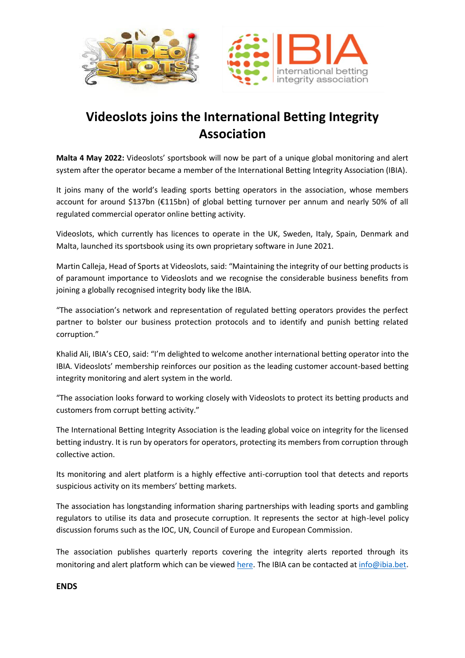



## **Videoslots joins the International Betting Integrity Association**

**Malta 4 May 2022:** Videoslots' sportsbook will now be part of a unique global monitoring and alert system after the operator became a member of the International Betting Integrity Association (IBIA).

It joins many of the world's leading sports betting operators in the association, whose members account for around \$137bn (€115bn) of global betting turnover per annum and nearly 50% of all regulated commercial operator online betting activity.

Videoslots, which currently has licences to operate in the UK, Sweden, Italy, Spain, Denmark and Malta, launched its sportsbook using its own proprietary software in June 2021.

Martin Calleja, Head of Sports at Videoslots, said: "Maintaining the integrity of our betting products is of paramount importance to Videoslots and we recognise the considerable business benefits from joining a globally recognised integrity body like the IBIA.

"The association's network and representation of regulated betting operators provides the perfect partner to bolster our business protection protocols and to identify and punish betting related corruption."

Khalid Ali, IBIA's CEO, said: "I'm delighted to welcome another international betting operator into the IBIA. Videoslots' membership reinforces our position as the leading customer account-based betting integrity monitoring and alert system in the world.

"The association looks forward to working closely with Videoslots to protect its betting products and customers from corrupt betting activity."

The International Betting Integrity Association is the leading global voice on integrity for the licensed betting industry. It is run by operators for operators, protecting its members from corruption through collective action.

Its monitoring and alert platform is a highly effective anti-corruption tool that detects and reports suspicious activity on its members' betting markets.

The association has longstanding information sharing partnerships with leading sports and gambling regulators to utilise its data and prosecute corruption. It represents the sector at high-level policy discussion forums such as the IOC, UN, Council of Europe and European Commission.

The association publishes quarterly reports covering the integrity alerts reported through its monitoring and alert platform which can be viewed [here.](https://ibia.bet/resources/) The IBIA can be contacted a[t info@ibia.bet](mailto:info@ibia.bet)**.** 

**ENDS**